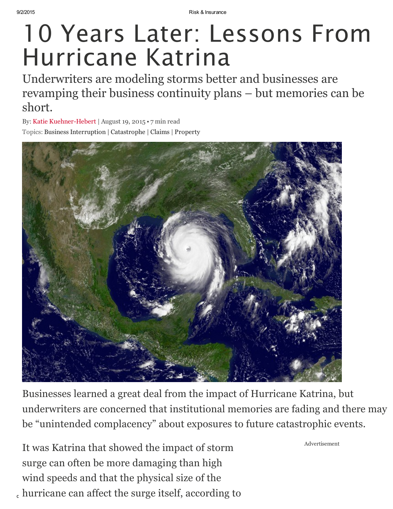# 10 Years Later: Lessons From Hurricane Katrina

Underwriters are modeling storms better and businesses are revamping their business continuity plans – but memories can be short.

By: Katie Kuehner-Hebert | August 19, 2015 • 7 min read Topics: Business [Interruption](http://www.riskandinsurance.com/category/lines/business-interuption/) | [Catastrophe](http://www.riskandinsurance.com/category/risksrm/catastrophe/) | [Claims](http://www.riskandinsurance.com/category/general/claims/) | [Property](http://www.riskandinsurance.com/category/lines/property/)



Businesses learned a great deal from the impact of Hurricane Katrina, but underwriters are concerned that institutional memories are fading and there may be "unintended complacency" about exposures to future catastrophic events.

, hurricane can affect the surge itself, according to It was Katrina that showed the impact of storm surge can often be more damaging than high wind speeds and that the physical size of the

Advertisement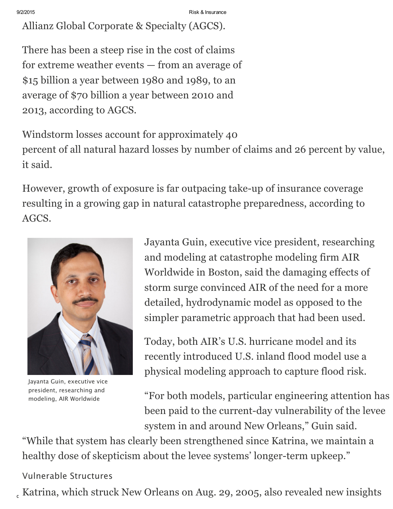Allianz Global Corporate & Specialty (AGCS).

There has been a steep rise in the cost of claims for extreme weather events — from an average of \$15 billion a year between 1980 and 1989, to an average of \$70 billion a year between 2010 and 2013, according to AGCS.

Windstorm losses account for approximately 40 percent of all natural hazard losses by number of claims and 26 percent by value, it said.

However, growth of exposure is far outpacing take-up of insurance coverage resulting in a growing gap in natural catastrophe preparedness, according to AGCS.



Jayanta Guin, executive vice president, researching and modeling, AIR Worldwide

Jayanta Guin, executive vice president, researching and modeling at catastrophe modeling firm AIR Worldwide in Boston, said the damaging effects of storm surge convinced AIR of the need for a more detailed, hydrodynamic model as opposed to the simpler parametric approach that had been used.

Today, both AIR's U.S. hurricane model and its recently introduced U.S. inland flood model use a physical modeling approach to capture flood risk.

"For both models, particular engineering attention has been paid to the current-day vulnerability of the levee system in and around New Orleans," Guin said.

"While that system has clearly been strengthened since Katrina, we maintain a healthy dose of skepticism about the levee systems' longer-term upkeep."

## Vulnerable Structures

 $_{\rm c}$  Katrina, which struck New Orleans on Aug. 29, 2005, also revealed new insights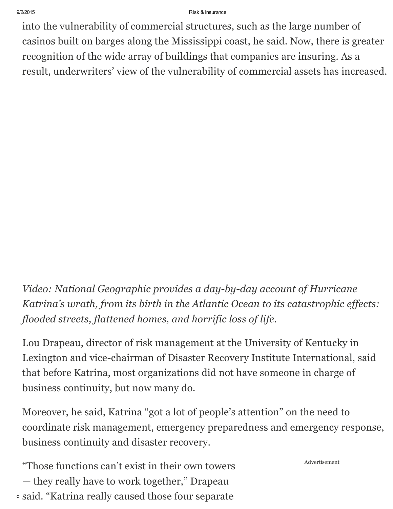9/2/2015 Risk & Insurance

into the vulnerability of commercial structures, such as the large number of casinos built on barges along the Mississippi coast, he said. Now, there is greater recognition of the wide array of buildings that companies are insuring. As a result, underwriters' view of the vulnerability of commercial assets has increased.

Video: National Geographic provides a day-by-day account of Hurricane Katrina's wrath, from its birth in the Atlantic Ocean to its catastrophic effects: flooded streets, flattened homes, and horrific loss of life.

Lou Drapeau, director of risk management at the University of Kentucky in Lexington and vice-chairman of Disaster Recovery Institute International, said that before Katrina, most organizations did not have someone in charge of business continuity, but now many do.

Moreover, he said, Katrina "got a lot of people's attention" on the need to coordinate risk management, emergency preparedness and emergency response, business continuity and disaster recovery.

 $\cdot$  said. "Katrina really caused those four separate "Those functions can't exist in their own towers — they really have to work together," Drapeau

Advertisement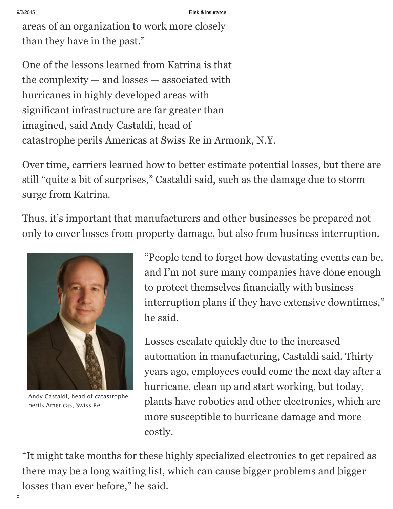areas of an organization to work more closely than they have in the past."

One of the lessons learned from Katrina is that the complexity — and losses — associated with hurricanes in highly developed areas with significant infrastructure are far greater than imagined, said Andy Castaldi, head of catastrophe perils Americas at Swiss Re in Armonk, N.Y.

Over time, carriers learned how to better estimate potential losses, but there are still "quite a bit of surprises," Castaldi said, such as the damage due to storm surge from Katrina.

Thus, it's important that manufacturers and other businesses be prepared not only to cover losses from property damage, but also from business interruption.



Andy Castaldi, head of catastrophe perils Americas, Swiss Re

"People tend to forget how devastating events can be, and I'm not sure many companies have done enough to protect themselves financially with business interruption plans if they have extensive downtimes," he said.

Losses escalate quickly due to the increased automation in manufacturing, Castaldi said. Thirty years ago, employees could come the next day after a hurricane, clean up and start working, but today, plants have robotics and other electronics, which are more susceptible to hurricane damage and more costly.

"It might take months for these highly specialized electronics to get repaired as there may be a long waiting list, which can cause bigger problems and bigger losses than ever before," he said.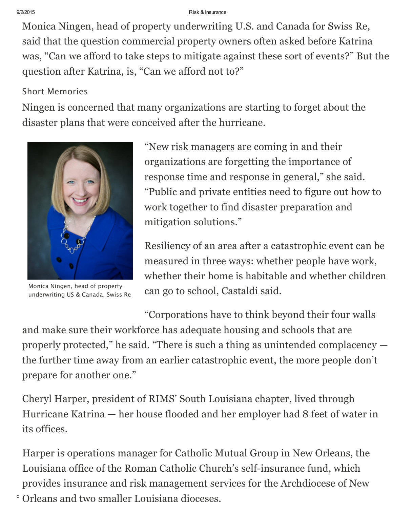9/2/2015 Risk & Insurance

Monica Ningen, head of property underwriting U.S. and Canada for Swiss Re, said that the question commercial property owners often asked before Katrina was, "Can we afford to take steps to mitigate against these sort of events?" But the question after Katrina, is, "Can we afford not to?"

## Short Memories

Ningen is concerned that many organizations are starting to forget about the disaster plans that were conceived after the hurricane.



Monica Ningen, head of property underwriting US & Canada, Swiss Re

"New risk managers are coming in and their organizations are forgetting the importance of response time and response in general," she said. "Public and private entities need to figure out how to work together to find disaster preparation and mitigation solutions."

Resiliency of an area after a catastrophic event can be measured in three ways: whether people have work, whether their home is habitable and whether children can go to school, Castaldi said.

"Corporations have to think beyond their four walls and make sure their workforce has adequate housing and schools that are properly protected," he said. "There is such a thing as unintended complacency the further time away from an earlier catastrophic event, the more people don't prepare for another one."

Cheryl Harper, president of RIMS' South Louisiana chapter, lived through Hurricane Katrina — her house flooded and her employer had 8 feet of water in its offices.

 $\cdot$  Orleans and two smaller Louisiana dioceses. Harper is operations manager for Catholic Mutual Group in New Orleans, the Louisiana office of the Roman Catholic Church's self-insurance fund, which provides insurance and risk management services for the Archdiocese of New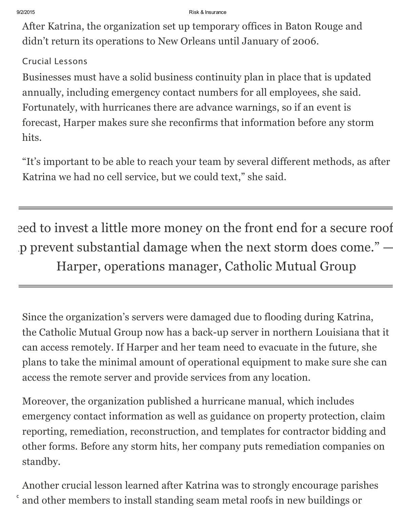After Katrina, the organization set up temporary offices in Baton Rouge and didn't return its operations to New Orleans until January of 2006.

## Crucial Lessons

Businesses must have a solid business continuity plan in place that is updated annually, including emergency contact numbers for all employees, she said. Fortunately, with hurricanes there are advance warnings, so if an event is forecast, Harper makes sure she reconfirms that information before any storm hits.

"It's important to be able to reach your team by several different methods, as after Katrina we had no cell service, but we could text," she said.

eed to invest a little more money on the front end for a secure roof p prevent substantial damage when the next storm does come." – Harper, operations manager, Catholic Mutual Group

Since the organization's servers were damaged due to flooding during Katrina, the Catholic Mutual Group now has a back-up server in northern Louisiana that it can access remotely. If Harper and her team need to evacuate in the future, she plans to take the minimal amount of operational equipment to make sure she can access the remote server and provide services from any location.

Moreover, the organization published a hurricane manual, which includes emergency contact information as well as guidance on property protection, claim reporting, remediation, reconstruction, and templates for contractor bidding and other forms. Before any storm hits, her company puts remediation companies on standby.

 $\delta$  and other members to install standing seam metal roofs in new buildings or Another crucial lesson learned after Katrina was to strongly encourage parishes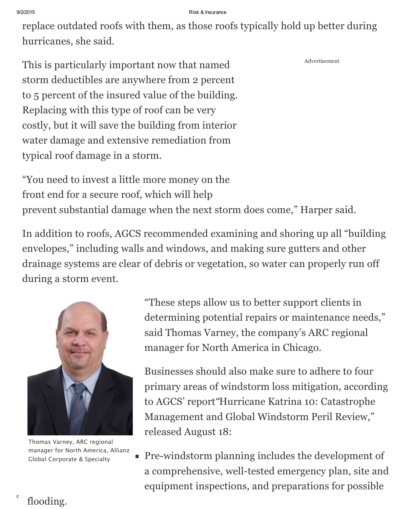replace outdated roofs with them, as those roofs typically hold up better during hurricanes, she said.

This is particularly important now that named storm deductibles are anywhere from 2 percent to 5 percent of the insured value of the building. Replacing with this type of roof can be very costly, but it will save the building from interior water damage and extensive remediation from typical roof damage in a storm.

"You need to invest a little more money on the front end for a secure roof, which will help prevent substantial damage when the next storm does come," Harper said.

In addition to roofs, AGCS recommended examining and shoring up all "building envelopes," including walls and windows, and making sure gutters and other drainage systems are clear of debris or vegetation, so water can properly run off during a storm event.



Thomas Varney, ARC regional manager for North America, Allianz Global Corporate & Specialty

"These steps allow us to better support clients in determining potential repairs or maintenance needs," said Thomas Varney, the company's ARC regional manager for North America in Chicago.

Advertisement

Businesses should also make sure to adhere to four primary areas of windstorm loss mitigation, according to AGCS' report"Hurricane Katrina 10: Catastrophe Management and Global Windstorm Peril Review," released August 18:

Pre-windstorm planning includes the development of a comprehensive, well-tested emergency plan, site and equipment inspections, and preparations for possible